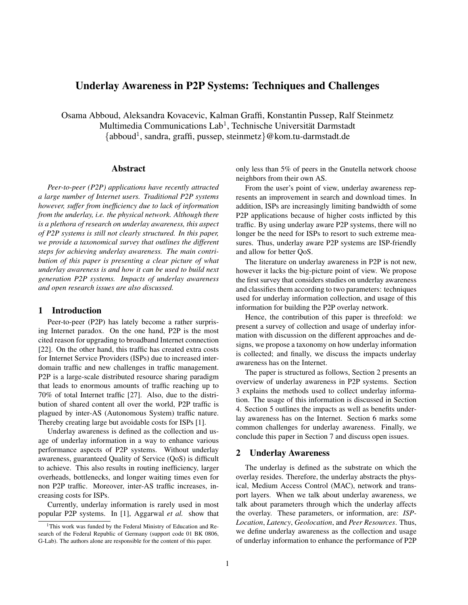# Underlay Awareness in P2P Systems: Techniques and Challenges

Osama Abboud, Aleksandra Kovacevic, Kalman Graffi, Konstantin Pussep, Ralf Steinmetz Multimedia Communications Lab<sup>1</sup>, Technische Universität Darmstadt {abboud<sup>1</sup> , sandra, graffi, pussep, steinmetz}@kom.tu-darmstadt.de

# Abstract

*Peer-to-peer (P2P) applications have recently attracted a large number of Internet users. Traditional P2P systems however, suffer from inefficiency due to lack of information from the underlay, i.e. the physical network. Although there is a plethora of research on underlay awareness, this aspect of P2P systems is still not clearly structured. In this paper, we provide a taxonomical survey that outlines the different steps for achieving underlay awareness. The main contribution of this paper is presenting a clear picture of what underlay awareness is and how it can be used to build next generation P2P systems. Impacts of underlay awareness and open research issues are also discussed.*

# 1 Introduction

Peer-to-peer (P2P) has lately become a rather surprising Internet paradox. On the one hand, P2P is the most cited reason for upgrading to broadband Internet connection [22]. On the other hand, this traffic has created extra costs for Internet Service Providers (ISPs) due to increased interdomain traffic and new challenges in traffic management. P2P is a large-scale distributed resource sharing paradigm that leads to enormous amounts of traffic reaching up to 70% of total Internet traffic [27]. Also, due to the distribution of shared content all over the world, P2P traffic is plagued by inter-AS (Autonomous System) traffic nature. Thereby creating large but avoidable costs for ISPs [1].

Underlay awareness is defined as the collection and usage of underlay information in a way to enhance various performance aspects of P2P systems. Without underlay awareness, guaranteed Quality of Service (QoS) is difficult to achieve. This also results in routing inefficiency, larger overheads, bottlenecks, and longer waiting times even for non P2P traffic. Moreover, inter-AS traffic increases, increasing costs for ISPs.

Currently, underlay information is rarely used in most popular P2P systems. In [1], Aggarwal *et al.* show that

only less than 5% of peers in the Gnutella network choose neighbors from their own AS.

From the user's point of view, underlay awareness represents an improvement in search and download times. In addition, ISPs are increasingly limiting bandwidth of some P2P applications because of higher costs inflicted by this traffic. By using underlay aware P2P systems, there will no longer be the need for ISPs to resort to such extreme measures. Thus, underlay aware P2P systems are ISP-friendly and allow for better QoS.

The literature on underlay awareness in P2P is not new, however it lacks the big-picture point of view. We propose the first survey that considers studies on underlay awareness and classifies them according to two parameters: techniques used for underlay information collection, and usage of this information for building the P2P overlay network.

Hence, the contribution of this paper is threefold: we present a survey of collection and usage of underlay information with discussion on the different approaches and designs, we propose a taxonomy on how underlay information is collected; and finally, we discuss the impacts underlay awareness has on the Internet.

The paper is structured as follows, Section 2 presents an overview of underlay awareness in P2P systems. Section 3 explains the methods used to collect underlay information. The usage of this information is discussed in Section 4. Section 5 outlines the impacts as well as benefits underlay awareness has on the Internet. Section 6 marks some common challenges for underlay awareness. Finally, we conclude this paper in Section 7 and discuss open issues.

#### 2 Underlay Awareness

The underlay is defined as the substrate on which the overlay resides. Therefore, the underlay abstracts the physical, Medium Access Control (MAC), network and transport layers. When we talk about underlay awareness, we talk about parameters through which the underlay affects the overlay. These parameters, or information, are: *ISP-Location*, *Latency*, *Geolocation*, and *Peer Resources*. Thus, we define underlay awareness as the collection and usage of underlay information to enhance the performance of P2P

<sup>&</sup>lt;sup>1</sup>This work was funded by the Federal Ministry of Education and Research of the Federal Republic of Germany (support code 01 BK 0806, G-Lab). The authors alone are responsible for the content of this paper.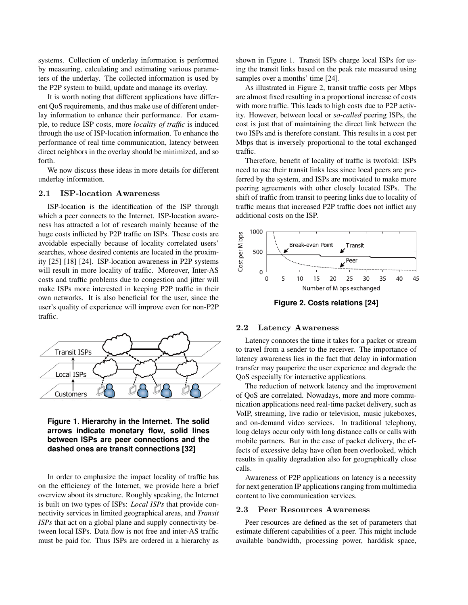systems. Collection of underlay information is performed by measuring, calculating and estimating various parameters of the underlay. The collected information is used by the P2P system to build, update and manage its overlay.

It is worth noting that different applications have different QoS requirements, and thus make use of different underlay information to enhance their performance. For example, to reduce ISP costs, more *locality of traffic* is induced through the use of ISP-location information. To enhance the performance of real time communication, latency between direct neighbors in the overlay should be minimized, and so forth.

We now discuss these ideas in more details for different underlay information.

#### 2.1 ISP-location Awareness

ISP-location is the identification of the ISP through which a peer connects to the Internet. ISP-location awareness has attracted a lot of research mainly because of the huge costs inflicted by P2P traffic on ISPs. These costs are avoidable especially because of locality correlated users' searches, whose desired contents are located in the proximity [25] [18] [24]. ISP-location awareness in P2P systems will result in more locality of traffic. Moreover, Inter-AS costs and traffic problems due to congestion and jitter will make ISPs more interested in keeping P2P traffic in their own networks. It is also beneficial for the user, since the user's quality of experience will improve even for non-P2P traffic.



# **Figure 1. Hierarchy in the Internet. The solid arrows indicate monetary flow, solid lines between ISPs are peer connections and the dashed ones are transit connections [32]**

In order to emphasize the impact locality of traffic has on the efficiency of the Internet, we provide here a brief overview about its structure. Roughly speaking, the Internet is built on two types of ISPs: *Local ISPs* that provide connectivity services in limited geographical areas, and *Transit ISPs* that act on a global plane and supply connectivity between local ISPs. Data flow is not free and inter-AS traffic must be paid for. Thus ISPs are ordered in a hierarchy as

shown in Figure 1. Transit ISPs charge local ISPs for using the transit links based on the peak rate measured using samples over a months' time [24].

As illustrated in Figure 2, transit traffic costs per Mbps are almost fixed resulting in a proportional increase of costs with more traffic. This leads to high costs due to P2P activity. However, between local or *so-called* peering ISPs, the cost is just that of maintaining the direct link between the two ISPs and is therefore constant. This results in a cost per Mbps that is inversely proportional to the total exchanged traffic.

Therefore, benefit of locality of traffic is twofold: ISPs need to use their transit links less since local peers are preferred by the system, and ISPs are motivated to make more peering agreements with other closely located ISPs. The shift of traffic from transit to peering links due to locality of traffic means that increased P2P traffic does not inflict any additional costs on the ISP.



**Figure 2. Costs relations [24]**

## 2.2 Latency Awareness

Latency connotes the time it takes for a packet or stream to travel from a sender to the receiver. The importance of latency awareness lies in the fact that delay in information transfer may pauperize the user experience and degrade the QoS especially for interactive applications.

The reduction of network latency and the improvement of QoS are correlated. Nowadays, more and more communication applications need real-time packet delivery, such as VoIP, streaming, live radio or television, music jukeboxes, and on-demand video services. In traditional telephony, long delays occur only with long distance calls or calls with mobile partners. But in the case of packet delivery, the effects of excessive delay have often been overlooked, which results in quality degradation also for geographically close calls.

Awareness of P2P applications on latency is a necessity for next generation IP applications ranging from multimedia content to live communication services.

#### 2.3 Peer Resources Awareness

Peer resources are defined as the set of parameters that estimate different capabilities of a peer. This might include available bandwidth, processing power, harddisk space,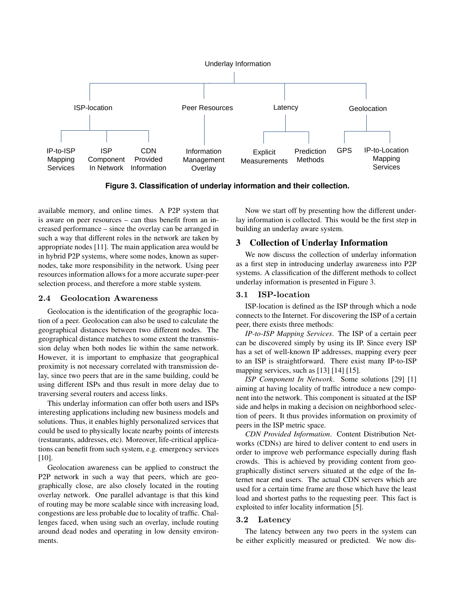

**Figure 3. Classification of underlay information and their collection.**

available memory, and online times. A P2P system that is aware on peer resources – can thus benefit from an increased performance – since the overlay can be arranged in such a way that different roles in the network are taken by appropriate nodes [11]. The main application area would be in hybrid P2P systems, where some nodes, known as supernodes, take more responsibility in the network. Using peer resources information allows for a more accurate super-peer selection process, and therefore a more stable system.

### 2.4 Geolocation Awareness

Geolocation is the identification of the geographic location of a peer. Geolocation can also be used to calculate the geographical distances between two different nodes. The geographical distance matches to some extent the transmission delay when both nodes lie within the same network. However, it is important to emphasize that geographical proximity is not necessary correlated with transmission delay, since two peers that are in the same building, could be using different ISPs and thus result in more delay due to traversing several routers and access links.

This underlay information can offer both users and ISPs interesting applications including new business models and solutions. Thus, it enables highly personalized services that could be used to physically locate nearby points of interests (restaurants, addresses, etc). Moreover, life-critical applications can benefit from such system, e.g. emergency services [10].

Geolocation awareness can be applied to construct the P2P network in such a way that peers, which are geographically close, are also closely located in the routing overlay network. One parallel advantage is that this kind of routing may be more scalable since with increasing load, congestions are less probable due to locality of traffic. Challenges faced, when using such an overlay, include routing around dead nodes and operating in low density environments.

Now we start off by presenting how the different underlay information is collected. This would be the first step in building an underlay aware system.

# 3 Collection of Underlay Information

We now discuss the collection of underlay information as a first step in introducing underlay awareness into P2P systems. A classification of the different methods to collect underlay information is presented in Figure 3.

# 3.1 ISP-location

ISP-location is defined as the ISP through which a node connects to the Internet. For discovering the ISP of a certain peer, there exists three methods:

*IP-to-ISP Mapping Services*. The ISP of a certain peer can be discovered simply by using its IP. Since every ISP has a set of well-known IP addresses, mapping every peer to an ISP is straightforward. There exist many IP-to-ISP mapping services, such as [13] [14] [15].

*ISP Component In Network*. Some solutions [29] [1] aiming at having locality of traffic introduce a new component into the network. This component is situated at the ISP side and helps in making a decision on neighborhood selection of peers. It thus provides information on proximity of peers in the ISP metric space.

*CDN Provided Information*. Content Distribution Networks (CDNs) are hired to deliver content to end users in order to improve web performance especially during flash crowds. This is achieved by providing content from geographically distinct servers situated at the edge of the Internet near end users. The actual CDN servers which are used for a certain time frame are those which have the least load and shortest paths to the requesting peer. This fact is exploited to infer locality information [5].

## 3.2 Latency

The latency between any two peers in the system can be either explicitly measured or predicted. We now dis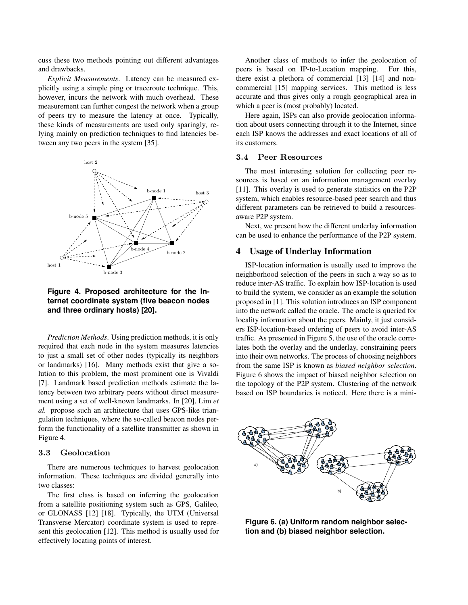cuss these two methods pointing out different advantages and drawbacks.

*Explicit Measurements*. Latency can be measured explicitly using a simple ping or traceroute technique. This, however, incurs the network with much overhead. These measurement can further congest the network when a group of peers try to measure the latency at once. Typically, these kinds of measurements are used only sparingly, relying mainly on prediction techniques to find latencies between any two peers in the system [35].



**ternet coordinate system (five beacon nodes** proposed and three ordinary hosts) [20]. **Figure 4. Proposed architecture for the In-**

*Prediction Methods*. Using prediction methods, it is only traffic. A required that each node in the system measures latencies lates bot to just a small set of other nodes (typically its neighbors into their or landmarks) [16]. Many methods exist that give a so-<br>from the lution to this problem, the most prominent one is Vivaldi Figure [7]. Landmark based prediction methods estimate the la-<br>the topol tency between two arbitrary peers without direct measure-<br>based on ment using a set of well-known landmarks. In [20], Lim et *al.* propose such an architecture that uses GPS-like trianform the functionality of a satellite transmitter as shown in Figure 4. gulation techniques, where the so-called beacon nodes per-

#### 3.3 Geolocation provement of  $\alpha$

D between beacon nodes and its singular value decomposi-

There are numerous techniques to harvest geolocation  $\frac{a}{a}$ information. These techniques are divided generally into  $\sim$   $\sim$   $\sim$   $\sim$   $\sim$ two classes:

The first class is based on inferring the geolocation From a satellite positioning system such as GPS, Galileo, or GLONASS  $[12]$   $[18]$ . Typically, the UTM (Universal Transverse Mercator) coordinate system is used to represent this geolocation [12]. This method is usually used for effectively locating points of interest.

Another class of methods to infer the geolocation of peers is based on IP-to-Location mapping. For this, there exist a plethora of commercial [13] [14] and noncommercial [15] mapping services. This method is less accurate and thus gives only a rough geographical area in which a peer is (most probably) located.

Here again, ISPs can also provide geolocation information about users connecting through it to the Internet, since each ISP knows the addresses and exact locations of all of its customers.

#### 3.4 Peer Resources

The most interesting solution for collecting peer resources is based on an information management overlay [11]. This overlay is used to generate statistics on the P2P system, which enables resource-based peer search and thus different parameters can be retrieved to build a resourcesaware P2P system.

Next, we present how the different underlay information can be used to enhance the performance of the P2P system.

# 4 Usage of Underlay Information

reduce inter-AS traffic. To explain how ISP-location is used **a) [20].**  $\blacksquare$  into the network called the oracle. The oracle is queried for ers ISP-location-based ordering of peers to avoid inter-AS ISP-location information is usually used to improve the neighborhood selection of the peers in such a way so as to to build the system, we consider as an example the solution proposed in [1]. This solution introduces an ISP component locality information about the peers. Mainly, it just considtraffic. As presented in Figure 5, the use of the oracle correlates both the overlay and the underlay, constraining peers into their own networks. The process of choosing neighbors from the same ISP is known as *biased neighbor selection*. Figure 6 shows the impact of biased neighbor selection on the topology of the P2P system. Clustering of the network based on ISP boundaries is noticed. Here there is a mini-



**Figure 6. (a) Uniform random neighbor selection and (b) biased neighbor selection.**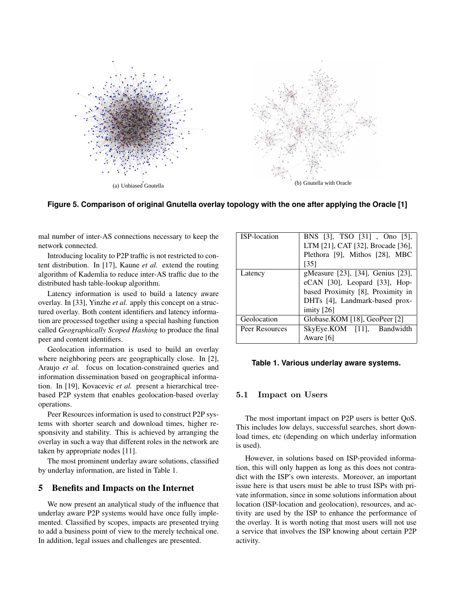

Figure 5. Comparison of original Gnutella overlay topology with the one after applying the Oracle [1]

 $\Lambda$ <sup>C</sup> connections necessary to keep  $\Lambda$ mal number of inter-AS connections necessary to keep the  $\mathbf{I}$ . network connected.

Introducing locality to P2P traffic is not restricted to content distribution. In [17], Kaune *et al.* extend the routing nest more toowip information. algorithm of Kademlia to reduce inter-AS traffic due to the distributed hash table-lookup algorithm.

Latency information is used to build a latency aware overlay. In [33], Yinzhe *et al.* apply this concept on a structured overlay. Both content identifiers and latency information are processed together using a special hashing function  $h = \frac{1}{2}$  file content  $\frac{1}{2}$  file content exchange  $\frac{1}{2}$  file content exchange has the state theories of the state theories of the state of the state of the state of the state of the state of the state of the st called *Geographically Scoped Hashing* to produce the final peer and content identifiers.

a node randomly and initiates an HTTP session with it to down-Geolocation information is used to build an overlay where neighboring peers are geographically close. In [2], Araujo et al. focus on location-constrained queries and  $\mathbf{r}$  only the neighborhood selection. In other words, when a node  $\mathbf{r}$ information dissemination based on geographical information. In [19], Kovacevic *et al.* present a hierarchical tree- $\frac{1}{2}$  every that enables geologation hased overlay based P2P system that enables geolocation-based overlay operations.

Peer Resources information is used to construct P2P sys-We observe that the intra-AS file exchange, which is 6.5% in the tems with shorter search and download times, higher responsivity and stability. This is achieved by arranging the  $\Phi$  is a way that different roles in the network are overlay in such a way that different roles in the network are taken by appropriate nodes [11].

The most prominent underlay aware solutions, classified In  $\ell$  and  $\ell$  are well contributed in  $\tau$  at  $1$  and  $\ell$  is otherwise available at  $\ell$ by underlay information, are listed in Table 1.

# 5 Benefits and Impacts on the Internet

We now present an analytical study of the influence that underlay aware P2P systems would have once fully implemented. Classified by scopes, impacts are presented trying to add a business point of view to the merely technical one. In addition, legal issues and challenges are presented.

| <b>ISP-location</b> | BNS [3], TSO [31], Ono [5],       |  |  |  |
|---------------------|-----------------------------------|--|--|--|
|                     | LTM [21], CAT [32], Brocade [36], |  |  |  |
|                     | Plethora [9], Mithos [28], MBC    |  |  |  |
|                     | [35]                              |  |  |  |
| Latency             | gMeasure [23], [34], Genius [23], |  |  |  |
|                     | eCAN [30], Leopard [33], Hop-     |  |  |  |
|                     | based Proximity [8], Proximity in |  |  |  |
|                     | DHTs [4], Landmark-based prox-    |  |  |  |
|                     | imity $[26]$                      |  |  |  |
| Geolocation         | Globase.KOM [18], GeoPeer [2]     |  |  |  |
| Peer Resources      | SkyEye.KOM [11], Bandwidth        |  |  |  |
|                     | Aware [6]                         |  |  |  |

#### Table to Variaus underlau surare avetami Table 1. Various underlay aware systems.

cache to the oracle. The Hostcache of each node is filled with a

#### $1 \quad \mathrm{Im}$ 5.1 Impact on Users

each ultrapeer shares 12 files, half the leaf nodes shares 6 files each, The most important impact on P2P users is better QoS. This includes low delays, successful searches, short down- $\mathbf{u}$  ringe at the depending an which underlay information load times, etc (depending on which underlay information  $\alpha$  is used).

However, in solutions based on ISP-provided information, this will only happen as long as this does not contra $t_{\text{total}}$  the ICD's seem integrate. Measures an inc. dict with the ISP's own interests. Moreover, an important present an analytical staty of the initiative and<br>vare P2P systems would have once fully imple-<br>tivity are used by the ISP to enhance the performance of issue here is that users must be able to trust ISPs with private information, since in some solutions information about location (ISP-location and geolocation), resources, and acthe overlay. It is worth noting that most users will not use a service that involves the ISP knowing about certain P2P activity.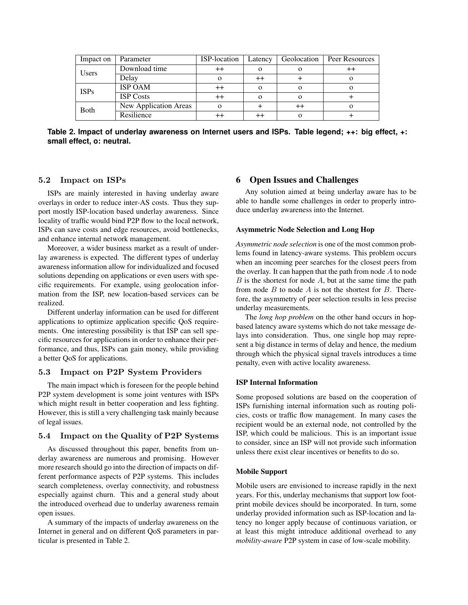| Impact on    | Parameter             | ISP-location     | Latency  | Geolocation | Peer Resources |
|--------------|-----------------------|------------------|----------|-------------|----------------|
| <b>Users</b> | Download time         | $^{\mathrm{++}}$ | $\Omega$ |             |                |
|              | Delay                 |                  |          |             |                |
| <b>ISPs</b>  | <b>ISP OAM</b>        | $^{\mathrm{++}}$ | $\Omega$ |             |                |
|              | <b>ISP</b> Costs      | $^{\mathrm{++}}$ | $\Omega$ |             |                |
| <b>B</b> oth | New Application Areas |                  |          |             | О              |
|              | Resilience            |                  |          |             |                |

**Table 2. Impact of underlay awareness on Internet users and ISPs. Table legend; ++: big effect, +: small effect, o: neutral.**

# 5.2 Impact on ISPs

ISPs are mainly interested in having underlay aware overlays in order to reduce inter-AS costs. Thus they support mostly ISP-location based underlay awareness. Since locality of traffic would bind P2P flow to the local network, ISPs can save costs and edge resources, avoid bottlenecks, and enhance internal network management.

Moreover, a wider business market as a result of underlay awareness is expected. The different types of underlay awareness information allow for individualized and focused solutions depending on applications or even users with specific requirements. For example, using geolocation information from the ISP, new location-based services can be realized.

Different underlay information can be used for different applications to optimize application specific QoS requirements. One interesting possibility is that ISP can sell specific resources for applications in order to enhance their performance, and thus, ISPs can gain money, while providing a better QoS for applications.

### 5.3 Impact on P2P System Providers

The main impact which is foreseen for the people behind P2P system development is some joint ventures with ISPs which might result in better cooperation and less fighting. However, this is still a very challenging task mainly because of legal issues.

# 5.4 Impact on the Quality of P2P Systems

As discussed throughout this paper, benefits from underlay awareness are numerous and promising. However more research should go into the direction of impacts on different performance aspects of P2P systems. This includes search completeness, overlay connectivity, and robustness especially against churn. This and a general study about the introduced overhead due to underlay awareness remain open issues.

A summary of the impacts of underlay awareness on the Internet in general and on different QoS parameters in particular is presented in Table 2.

# 6 Open Issues and Challenges

Any solution aimed at being underlay aware has to be able to handle some challenges in order to properly introduce underlay awareness into the Internet.

#### Asymmetric Node Selection and Long Hop

*Asymmetric node selection* is one of the most common problems found in latency-aware systems. This problem occurs when an incoming peer searches for the closest peers from the overlay. It can happen that the path from node  $A$  to node  $B$  is the shortest for node  $A$ , but at the same time the path from node  $B$  to node  $A$  is not the shortest for  $B$ . Therefore, the asymmetry of peer selection results in less precise underlay measurements.

The *long hop problem* on the other hand occurs in hopbased latency aware systems which do not take message delays into consideration. Thus, one single hop may represent a big distance in terms of delay and hence, the medium through which the physical signal travels introduces a time penalty, even with active locality awareness.

### ISP Internal Information

Some proposed solutions are based on the cooperation of ISPs furnishing internal information such as routing policies, costs or traffic flow management. In many cases the recipient would be an external node, not controlled by the ISP, which could be malicious. This is an important issue to consider, since an ISP will not provide such information unless there exist clear incentives or benefits to do so.

#### Mobile Support

Mobile users are envisioned to increase rapidly in the next years. For this, underlay mechanisms that support low footprint mobile devices should be incorporated. In turn, some underlay provided information such as ISP-location and latency no longer apply because of continuous variation, or at least this might introduce additional overhead to any *mobility-aware* P2P system in case of low-scale mobility.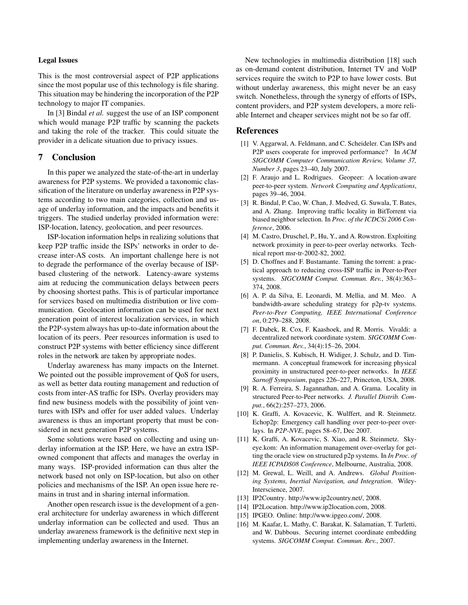#### Legal Issues

This is the most controversial aspect of P2P applications since the most popular use of this technology is file sharing. This situation may be hindering the incorporation of the P2P technology to major IT companies.

In [3] Bindal *et al.* suggest the use of an ISP component which would manage P2P traffic by scanning the packets and taking the role of the tracker. This could situate the provider in a delicate situation due to privacy issues.

# 7 Conclusion

In this paper we analyzed the state-of-the-art in underlay awareness for P2P systems. We provided a taxonomic classification of the literature on underlay awareness in P2P systems according to two main categories, collection and usage of underlay information, and the impacts and benefits it triggers. The studied underlay provided information were: ISP-location, latency, geolocation, and peer resources.

ISP-location information helps in realizing solutions that keep P2P traffic inside the ISPs' networks in order to decrease inter-AS costs. An important challenge here is not to degrade the performance of the overlay because of ISPbased clustering of the network. Latency-aware systems aim at reducing the communication delays between peers by choosing shortest paths. This is of particular importance for services based on multimedia distribution or live communication. Geolocation information can be used for next generation point of interest localization services, in which the P2P-system always has up-to-date information about the location of its peers. Peer resources information is used to construct P2P systems with better efficiency since different roles in the network are taken by appropriate nodes.

Underlay awareness has many impacts on the Internet. We pointed out the possible improvement of QoS for users, as well as better data routing management and reduction of costs from inter-AS traffic for ISPs. Overlay providers may find new business models with the possibility of joint ventures with ISPs and offer for user added values. Underlay awareness is thus an important property that must be considered in next generation P2P systems.

Some solutions were based on collecting and using underlay information at the ISP. Here, we have an extra ISPowned component that affects and manages the overlay in many ways. ISP-provided information can thus alter the network based not only on ISP-location, but also on other policies and mechanisms of the ISP. An open issue here remains in trust and in sharing internal information.

Another open research issue is the development of a general architecture for underlay awareness in which different underlay information can be collected and used. Thus an underlay awareness framework is the definitive next step in implementing underlay awareness in the Internet.

New technologies in multimedia distribution [18] such as on-demand content distribution, Internet TV and VoIP services require the switch to P2P to have lower costs. But without underlay awareness, this might never be an easy switch. Nonetheless, through the synergy of efforts of ISPs, content providers, and P2P system developers, a more reliable Internet and cheaper services might not be so far off.

### References

- [1] V. Aggarwal, A. Feldmann, and C. Scheideler. Can ISPs and P2P users cooperate for improved performance? In *ACM SIGCOMM Computer Communication Review, Volume 37, Number 3*, pages 23–40, July 2007.
- [2] F. Araujo and L. Rodrigues. Geopeer: A location-aware peer-to-peer system. *Network Computing and Applications*, pages 39–46, 2004.
- [3] R. Bindal, P. Cao, W. Chan, J. Medved, G. Suwala, T. Bates, and A. Zhang. Improving traffic locality in BitTorrent via biased neighbor selection. In *Proc. of the ICDCSi 2006 Conference*, 2006.
- [4] M. Castro, Druschel, P., Hu, Y., and A. Rowstron. Exploiting network proximity in peer-to-peer overlay networks. Technical report msr-tr-2002-82, 2002.
- [5] D. Choffnes and F. Bustamante. Taming the torrent: a practical approach to reducing cross-ISP traffic in Peer-to-Peer systems. *SIGCOMM Comput. Commun. Rev.*, 38(4):363– 374, 2008.
- [6] A. P. da Silva, E. Leonardi, M. Mellia, and M. Meo. A bandwidth-aware scheduling strategy for p2p-tv systems. *Peer-to-Peer Computing, IEEE International Conference on*, 0:279–288, 2008.
- [7] F. Dabek, R. Cox, F. Kaashoek, and R. Morris. Vivaldi: a decentralized network coordinate system. *SIGCOMM Comput. Commun. Rev.*, 34(4):15–26, 2004.
- [8] P. Danielis, S. Kubisch, H. Widiger, J. Schulz, and D. Timmermann. A conceptual framework for increasing physical proximity in unstructured peer-to-peer networks. In *IEEE Sarnoff Symposium*, pages 226–227, Princeton, USA, 2008.
- [9] R. A. Ferreira, S. Jagannathan, and A. Grama. Locality in structured Peer-to-Peer networks. *J. Parallel Distrib. Comput.*, 66(2):257–273, 2006.
- [10] K. Graffi, A. Kovacevic, K. Wulffert, and R. Steinmetz. Echop2p: Emergency call handling over peer-to-peer overlays. In *P2P-NVE*, pages 58–67, Dec 2007.
- [11] K. Graffi, A. Kovacevic, S. Xiao, and R. Steinmetz. Skyeye.kom: An information management over-overlay for getting the oracle view on structured p2p systems. In *In Proc. of IEEE ICPADS08 Conference*, Melbourne, Australia, 2008.
- [12] M. Grewal, L. Weill, and A. Andrews. *Global Positioning Systems, Inertial Navigation, and Integration*. Wiley-Interscience, 2007.
- [13] IP2Country. http://www.ip2country.net/, 2008.
- [14] IP2Location. http://www.ip2location.com, 2008.
- [15] IPGEO. Online: http://www.ipgeo.com/, 2008.
- [16] M. Kaafar, L. Mathy, C. Barakat, K. Salamatian, T. Turletti, and W. Dabbous. Securing internet coordinate embedding systems. *SIGCOMM Comput. Commun. Rev.*, 2007.